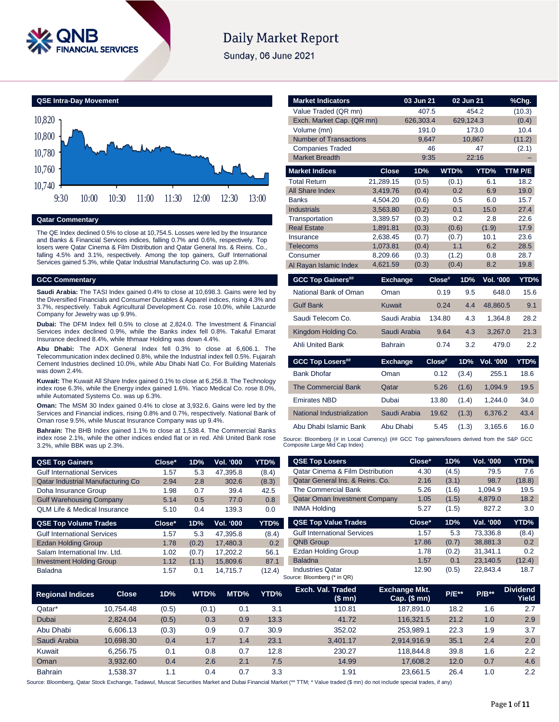

# **Daily Market Report**

Sunday, 06 June 2021

**QSE Intra-Day Movement** 10,740 10,760 10,780 10,800 10,820 9:30 10:00 10:30 11:00 11:30 12:00 12:30 13:00

**Qatar Commentary**

The QE Index declined 0.5% to close at 10,754.5. Losses were led by the Insurance and Banks & Financial Services indices, falling 0.7% and 0.6%, respectively. Top losers were Qatar Cinema & Film Distribution and Qatar General Ins. & Reins. Co., falling 4.5% and 3.1%, respectively. Among the top gainers, Gulf International Services gained 5.3%, while Qatar Industrial Manufacturing Co. was up 2.8%.

### **GCC Commentary**

**Saudi Arabia:** The TASI Index gained 0.4% to close at 10,698.3. Gains were led by the Diversified Financials and Consumer Durables & Apparel indices, rising 4.3% and 3.7%, respectively. Tabuk Agricultural Development Co. rose 10.0%, while Lazurde Company for Jewelry was up 9.9%.

**Dubai:** The DFM Index fell 0.5% to close at 2,824.0. The Investment & Financial Services index declined 0.9%, while the Banks index fell 0.8%. Takaful Emarat Insurance declined 8.4%, while Ithmaar Holding was down 4.4%.

**Abu Dhabi:** The ADX General Index fell 0.3% to close at 6,606.1. The Telecommunication index declined 0.8%, while the Industrial index fell 0.5%. Fujairah Cement Industries declined 10.0%, while Abu Dhabi Natl Co. For Building Materials was down 2.4%.

**Kuwait:** The Kuwait All Share Index gained 0.1% to close at 6,256.8. The Technology index rose 6.3%, while the Energy index gained 1.6%. Yiaco Medical Co. rose 8.0%, while Automated Systems Co. was up 6.3%.

**Oman:** The MSM 30 Index gained 0.4% to close at 3,932.6. Gains were led by the Services and Financial indices, rising 0.8% and 0.7%, respectively. National Bank of Oman rose 9.5%, while Muscat Insurance Company was up 9.4%.

**Bahrain:** The BHB Index gained 1.1% to close at 1,538.4. The Commercial Banks index rose 2.1%, while the other indices ended flat or in red. Ahli United Bank rose 3.2%, while BBK was up 2.3%.

| <b>QSE Top Gainers</b>                  | Close* | 1D% | <b>Vol. '000</b> | YTD%  |
|-----------------------------------------|--------|-----|------------------|-------|
| <b>Gulf International Services</b>      | 1.57   | 5.3 | 47.395.8         | (8.4) |
| Qatar Industrial Manufacturing Co       | 2.94   | 2.8 | 302.6            | (8.3) |
| Doha Insurance Group                    | 1.98   | 0.7 | 39.4             | 42.5  |
| <b>Gulf Warehousing Company</b>         | 5.14   | 0.5 | 77.0             | 0.8   |
| <b>QLM Life &amp; Medical Insurance</b> | 5.10   | 0.4 | 139.3            | 0.0   |

| <b>QSE Top Volume Trades</b>       | Close* | 1D%   | <b>Vol. '000</b> | YTD%   |
|------------------------------------|--------|-------|------------------|--------|
| <b>Gulf International Services</b> | 1.57   | 5.3   | 47.395.8         | (8.4)  |
| <b>Ezdan Holding Group</b>         | 1.78   | (0.2) | 17,480.3         | 0.2    |
| Salam International Inv. Ltd.      | 1.02   | (0.7) | 17.202.2         | 56.1   |
| <b>Investment Holding Group</b>    | 1.12   | (1.1) | 15,809.6         | 87.1   |
| <b>Baladna</b>                     | 1.57   | 0.1   | 14.715.7         | (12.4) |
|                                    |        |       |                  |        |

| <b>Market Indicators</b>                                                                                                      |                      | 03 Jun 21      |                   | 02 Jun 21  |                      | %Chg.        |
|-------------------------------------------------------------------------------------------------------------------------------|----------------------|----------------|-------------------|------------|----------------------|--------------|
| Value Traded (QR mn)                                                                                                          |                      |                | 407.5             | 454.2      |                      | (10.3)       |
| Exch. Market Cap. (QR mn)                                                                                                     |                      | 626,303.4      |                   | 629,124.3  |                      | (0.4)        |
| Volume (mn)                                                                                                                   |                      |                | 191.0             | 173.0      |                      | 10.4         |
| <b>Number of Transactions</b>                                                                                                 |                      |                | 9.647             | 10,867     |                      | (11.2)       |
| <b>Companies Traded</b>                                                                                                       |                      |                | 46                |            | 47                   | (2.1)        |
| <b>Market Breadth</b>                                                                                                         |                      |                | 9:35              | 22:16      |                      |              |
| <b>Market Indices</b>                                                                                                         | <b>Close</b>         | 1D%            |                   | WTD%       | YTD%                 | TTM P/E      |
| <b>Total Return</b>                                                                                                           | 21,289.15            | (0.5)          |                   | (0.1)      | 6.1                  | 18.2         |
| All Share Index                                                                                                               | 3.419.76             | (0.4)          |                   | 0.2        | 6.9                  | 19.0         |
| <b>Banks</b>                                                                                                                  | 4,504.20             | (0.6)          |                   | 0.5        | 6.0                  | 15.7         |
| <b>Industrials</b>                                                                                                            | 3,563.80             | (0.2)          |                   | 0.1<br>0.2 | 15.0<br>2.8          | 27.4<br>22.6 |
| Transportation<br><b>Real Estate</b>                                                                                          | 3,389.57<br>1,891.81 | (0.3)<br>(0.3) |                   | (0.6)      | (1.9)                | 17.9         |
| Insurance                                                                                                                     | 2,638.45             | (0.7)          |                   | (0.7)      | 10.1                 | 23.6         |
| Telecoms                                                                                                                      | 1,073.81             | (0.4)          |                   | 1.1        | 6.2                  | 28.5         |
| Consumer                                                                                                                      | 8,209.66             | (0.3)          |                   | (1.2)      | 0.8                  | 28.7         |
| Al Rayan Islamic Index                                                                                                        | 4,621.59             | (0.3)          |                   | (0.4)      | 8.2                  | 19.8         |
| <b>GCC Top Gainers##</b>                                                                                                      | <b>Exchange</b>      |                | Close#            | 1D%        | <b>Vol. '000</b>     | YTD%         |
| National Bank of Oman                                                                                                         | Oman                 |                | 0.19              | 9.5        | 648.0                | 15.6         |
| <b>Gulf Bank</b>                                                                                                              | Kuwait               |                | 0.24              | 4.4        | 48,860.5             | 9.1          |
| Saudi Telecom Co.                                                                                                             | Saudi Arabia         |                | 134.80            | 4.3        | 1,364.8              | 28.2         |
| Kingdom Holding Co.                                                                                                           | Saudi Arabia         |                | 9.64              | 4.3        | 3,267.0              | 21.3         |
| <b>Ahli United Bank</b>                                                                                                       | <b>Bahrain</b>       |                | 0.74              | 3.2        | 479.0                | $2.2\,$      |
| <b>GCC Top Losers##</b>                                                                                                       | <b>Exchange</b>      |                | Clos <sup>#</sup> | 1D%        | <b>Vol. '000</b>     | YTD%         |
| <b>Bank Dhofar</b>                                                                                                            | Oman                 |                | 0.12              | (3.4)      | 255.1                | 18.6         |
| <b>The Commercial Bank</b>                                                                                                    | Qatar                |                | 5.26              | (1.6)      | 1,094.9              | 19.5         |
| <b>Emirates NBD</b>                                                                                                           | Dubai                |                | 13.80             | (1.4)      | 1,244.0              | 34.0         |
| National Industrialization                                                                                                    | Saudi Arabia         |                | 19.62             | (1.3)      | 6,376.2              | 43.4         |
| Abu Dhabi Islamic Bank                                                                                                        | Abu Dhabi            |                | 5.45              | (1.3)      | 3,165.6              | 16.0         |
| Source: Bloomberg (# in Local Currency) (## GCC Top gainers/losers derived from the S&P GCC<br>Composite Large Mid Cap Index) |                      |                |                   |            |                      |              |
| OSE Ton Losers                                                                                                                |                      | Close*         |                   | 1D%        | <u> ۱۸۵۱ تا ۱۸</u> ۷ | YTD%         |

| <b>QSE Top Losers</b>                       | Close* | 1D%   | <b>Vol. '000</b> | YTD%   |
|---------------------------------------------|--------|-------|------------------|--------|
| <b>Oatar Cinema &amp; Film Distribution</b> | 4.30   | (4.5) | 79.5             | 7.6    |
| Qatar General Ins. & Reins. Co.             | 2.16   | (3.1) | 98.7             | (18.8) |
| The Commercial Bank                         | 5.26   | (1.6) | 1.094.9          | 19.5   |
| <b>Qatar Oman Investment Company</b>        | 1.05   | (1.5) | 4,879.0          | 18.2   |
| <b>INMA Holding</b>                         | 5.27   | (1.5) | 827.2            | 3.0    |
|                                             |        |       |                  |        |
| <b>QSE Top Value Trades</b>                 | Close* | 1D%   | Val. '000        | YTD%   |
| <b>Gulf International Services</b>          | 1.57   | 5.3   | 73.336.8         | (8.4)  |
| <b>QNB Group</b>                            | 17.86  | (0.7) | 38.881.3         | 0.2    |
| <b>Ezdan Holding Group</b>                  | 1.78   | (0.2) | 31.341.1         | 0.2    |
| <b>Baladna</b>                              | 1.57   | 0.1   | 23.140.5         | (12.4) |

| <b>Regional Indices</b> | <b>Close</b> | 1D%   | WTD%  | MTD% | YTD% | Exch. Val. Traded<br>(\$mn) | <b>Exchange Mkt.</b><br>$Cap.$ (\$ mn) | <b>P/E**</b> | $P/B**$ | <b>Dividend</b><br>Yield |
|-------------------------|--------------|-------|-------|------|------|-----------------------------|----------------------------------------|--------------|---------|--------------------------|
| Qatar*                  | 10.754.48    | (0.5) | (0.1) | 0.1  | 3.1  | 110.81                      | 187.891.0                              | 18.2         | 1.6     | 2.7                      |
| Dubai                   | 2.824.04     | (0.5) | 0.3   | 0.9  | 13.3 | 41.72                       | 116.321.5                              | 21.2         | 1.0     | 2.9                      |
| Abu Dhabi               | 6.606.13     | (0.3) | 0.9   | 0.7  | 30.9 | 352.02                      | 253.989.1                              | 22.3         | 1.9     | 3.7                      |
| Saudi Arabia            | 10.698.30    | 0.4   | 1.7   | 1.4  | 23.1 | 3.401.17                    | 2.914.916.9                            | 35.1         | 2.4     | 2.0                      |
| Kuwait                  | 6.256.75     | 0.1   | 0.8   | 0.7  | 12.8 | 230.27                      | 118,844.8                              | 39.8         | 1.6     | 2.2                      |
| Oman                    | 3.932.60     | 0.4   | 2.6   | 2.1  | 7.5  | 14.99                       | 17,608.2                               | 12.0         | 0.7     | 4.6                      |
| <b>Bahrain</b>          | .538.37      | 1.1   | 0.4   | 0.7  | 3.3  | 1.91                        | 23.661.5                               | 26.4         | 1.0     | 2.2                      |

Source: Bloomberg, Qatar Stock Exchange, Tadawul, Muscat Securities Market and Dubai Financial Market (\*\* TTM; \* Value traded (\$ mn) do not include special trades, if any)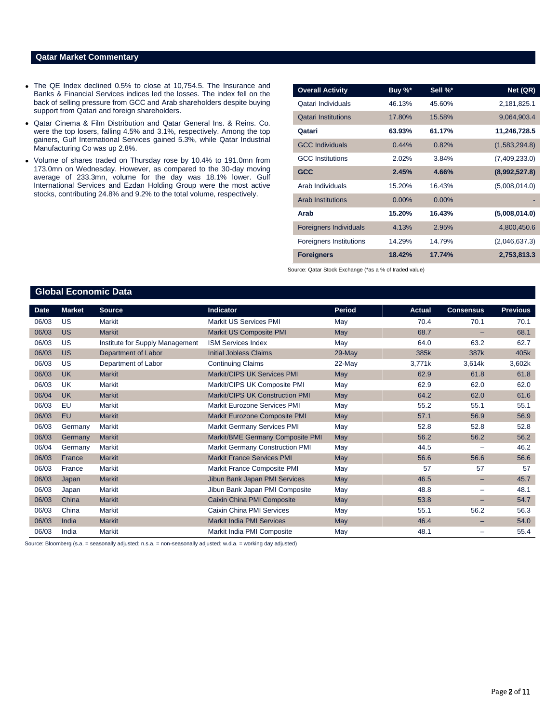### **Qatar Market Commentary**

- The QE Index declined 0.5% to close at 10,754.5. The Insurance and Banks & Financial Services indices led the losses. The index fell on the back of selling pressure from GCC and Arab shareholders despite buying support from Qatari and foreign shareholders.
- Qatar Cinema & Film Distribution and Qatar General Ins. & Reins. Co. were the top losers, falling 4.5% and 3.1%, respectively. Among the top gainers, Gulf International Services gained 5.3%, while Qatar Industrial Manufacturing Co was up 2.8%.
- Volume of shares traded on Thursday rose by 10.4% to 191.0mn from 173.0mn on Wednesday. However, as compared to the 30-day moving average of 233.3mn, volume for the day was 18.1% lower. Gulf International Services and Ezdan Holding Group were the most active stocks, contributing 24.8% and 9.2% to the total volume, respectively.

| <b>Overall Activity</b>       | Buy %*   | Sell %*  | Net (QR)      |
|-------------------------------|----------|----------|---------------|
| Qatari Individuals            | 46.13%   | 45.60%   | 2,181,825.1   |
| <b>Qatari Institutions</b>    | 17.80%   | 15.58%   | 9,064,903.4   |
| Qatari                        | 63.93%   | 61.17%   | 11,246,728.5  |
| <b>GCC Individuals</b>        | 0.44%    | 0.82%    | (1,583,294.8) |
| <b>GCC Institutions</b>       | 2.02%    | 3.84%    | (7,409,233.0) |
| <b>GCC</b>                    | 2.45%    | 4.66%    | (8,992,527.8) |
| Arab Individuals              | 15.20%   | 16.43%   | (5,008,014.0) |
| <b>Arab Institutions</b>      | $0.00\%$ | $0.00\%$ |               |
| Arab                          | 15.20%   | 16.43%   | (5,008,014.0) |
| <b>Foreigners Individuals</b> | 4.13%    | 2.95%    | 4,800,450.6   |
| Foreigners Institutions       | 14.29%   | 14.79%   | (2,046,637.3) |
| <b>Foreigners</b>             | 18.42%   | 17.74%   | 2,753,813.3   |

Source: Qatar Stock Exchange (\*as a % of traded value)

# **Global Economic Data**

| <b>Date</b> | <b>Market</b> | <b>Source</b>                   | Indicator                              | <b>Period</b> | <b>Actual</b> | <b>Consensus</b> | <b>Previous</b> |
|-------------|---------------|---------------------------------|----------------------------------------|---------------|---------------|------------------|-----------------|
| 06/03       | US            | Markit                          | <b>Markit US Services PMI</b>          | May           | 70.4          | 70.1             | 70.1            |
| 06/03       | <b>US</b>     | <b>Markit</b>                   | <b>Markit US Composite PMI</b>         | May           | 68.7          | -                | 68.1            |
| 06/03       | US            | Institute for Supply Management | <b>ISM Services Index</b>              | May           | 64.0          | 63.2             | 62.7            |
| 06/03       | <b>US</b>     | Department of Labor             | <b>Initial Jobless Claims</b>          | $29$ -May     | 385k          | 387k             | 405k            |
| 06/03       | US            | Department of Labor             | <b>Continuing Claims</b>               | 22-May        | 3,771k        | 3,614k           | 3,602k          |
| 06/03       | <b>UK</b>     | <b>Markit</b>                   | Markit/CIPS UK Services PMI            | May           | 62.9          | 61.8             | 61.8            |
| 06/03       | <b>UK</b>     | Markit                          | Markit/CIPS UK Composite PMI           | May           | 62.9          | 62.0             | 62.0            |
| 06/04       | <b>UK</b>     | <b>Markit</b>                   | Markit/CIPS UK Construction PMI        | May           | 64.2          | 62.0             | 61.6            |
| 06/03       | EU            | Markit                          | <b>Markit Eurozone Services PMI</b>    | May           | 55.2          | 55.1             | 55.1            |
| 06/03       | EU            | <b>Markit</b>                   | Markit Eurozone Composite PMI          | May           | 57.1          | 56.9             | 56.9            |
| 06/03       | Germany       | Markit                          | Markit Germany Services PMI            | May           | 52.8          | 52.8             | 52.8            |
| 06/03       | Germany       | <b>Markit</b>                   | Markit/BME Germany Composite PMI       | May           | 56.2          | 56.2             | 56.2            |
| 06/04       | Germany       | Markit                          | <b>Markit Germany Construction PMI</b> | May           | 44.5          | -                | 46.2            |
| 06/03       | France        | <b>Markit</b>                   | <b>Markit France Services PMI</b>      | May           | 56.6          | 56.6             | 56.6            |
| 06/03       | France        | Markit                          | Markit France Composite PMI            | May           | 57            | 57               | 57              |
| 06/03       | Japan         | <b>Markit</b>                   | Jibun Bank Japan PMI Services          | May           | 46.5          | -                | 45.7            |
| 06/03       | Japan         | Markit                          | Jibun Bank Japan PMI Composite         | May           | 48.8          | $\equiv$         | 48.1            |
| 06/03       | China         | <b>Markit</b>                   | Caixin China PMI Composite             | May           | 53.8          | -                | 54.7            |
| 06/03       | China         | Markit                          | Caixin China PMI Services              | May           | 55.1          | 56.2             | 56.3            |
| 06/03       | India         | <b>Markit</b>                   | <b>Markit India PMI Services</b>       | May           | 46.4          | -                | 54.0            |
| 06/03       | India         | <b>Markit</b>                   | Markit India PMI Composite             | May           | 48.1          | -                | 55.4            |

Source: Bloomberg (s.a. = seasonally adjusted; n.s.a. = non-seasonally adjusted; w.d.a. = working day adjusted)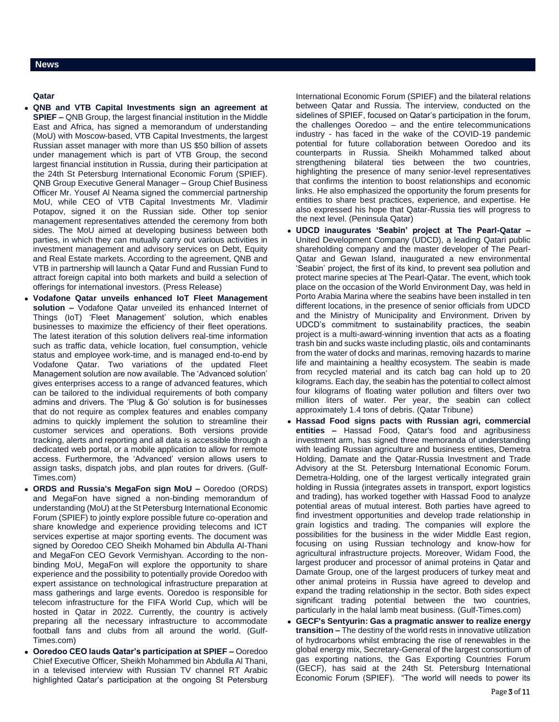# **News**

### **Qatar**

- **QNB and VTB Capital Investments sign an agreement at SPIEF –** QNB Group, the largest financial institution in the Middle East and Africa, has signed a memorandum of understanding (MoU) with Moscow-based, VTB Capital Investments, the largest Russian asset manager with more than US \$50 billion of assets under management which is part of VTB Group, the second largest financial institution in Russia, during their participation at the 24th St Petersburg International Economic Forum (SPIEF). QNB Group Executive General Manager – Group Chief Business Officer Mr. Yousef Al Neama signed the commercial partnership MoU, while CEO of VTB Capital Investments Mr. Vladimir Potapov, signed it on the Russian side. Other top senior management representatives attended the ceremony from both sides. The MoU aimed at developing business between both parties, in which they can mutually carry out various activities in investment management and advisory services on Debt, Equity and Real Estate markets. According to the agreement, QNB and VTB in partnership will launch a Qatar Fund and Russian Fund to attract foreign capital into both markets and build a selection of offerings for international investors. (Press Release)
- **Vodafone Qatar unveils enhanced IoT Fleet Management solution –** Vodafone Qatar unveiled its enhanced Internet of Things (IoT) 'Fleet Management' solution, which enables businesses to maximize the efficiency of their fleet operations. The latest iteration of this solution delivers real-time information such as traffic data, vehicle location, fuel consumption, vehicle status and employee work-time, and is managed end-to-end by Vodafone Qatar. Two variations of the updated Fleet Management solution are now available. The 'Advanced solution' gives enterprises access to a range of advanced features, which can be tailored to the individual requirements of both company admins and drivers. The 'Plug & Go' solution is for businesses that do not require as complex features and enables company admins to quickly implement the solution to streamline their customer services and operations. Both versions provide tracking, alerts and reporting and all data is accessible through a dedicated web portal, or a mobile application to allow for remote access. Furthermore, the 'Advanced' version allows users to assign tasks, dispatch jobs, and plan routes for drivers. (Gulf-Times.com)
- **ORDS and Russia's MegaFon sign MoU –** Ooredoo (ORDS) and MegaFon have signed a non-binding memorandum of understanding (MoU) at the St Petersburg International Economic Forum (SPIEF) to jointly explore possible future co-operation and share knowledge and experience providing telecoms and ICT services expertise at major sporting events. The document was signed by Ooredoo CEO Sheikh Mohamed bin Abdulla Al-Thani and MegaFon CEO Gevork Vermishyan. According to the nonbinding MoU, MegaFon will explore the opportunity to share experience and the possibility to potentially provide Ooredoo with expert assistance on technological infrastructure preparation at mass gatherings and large events. Ooredoo is responsible for telecom infrastructure for the FIFA World Cup, which will be hosted in Qatar in 2022. Currently, the country is actively preparing all the necessary infrastructure to accommodate football fans and clubs from all around the world. (Gulf-Times.com)
- **Ooredoo CEO lauds Qatar's participation at SPIEF –** Ooredoo Chief Executive Officer, Sheikh Mohammed bin Abdulla Al Thani, in a televised interview with Russian TV channel RT Arabic highlighted Qatar's participation at the ongoing St Petersburg

International Economic Forum (SPIEF) and the bilateral relations between Qatar and Russia. The interview, conducted on the sidelines of SPIEF, focused on Qatar's participation in the forum, the challenges Ooredoo – and the entire telecommunications industry - has faced in the wake of the COVID-19 pandemic potential for future collaboration between Ooredoo and its counterparts in Russia. Sheikh Mohammed talked about strengthening bilateral ties between the two countries, highlighting the presence of many senior-level representatives that confirms the intention to boost relationships and economic links. He also emphasized the opportunity the forum presents for entities to share best practices, experience, and expertise. He also expressed his hope that Qatar-Russia ties will progress to the next level. (Peninsula Qatar)

- **UDCD inaugurates 'Seabin' project at The Pearl-Qatar –** United Development Company (UDCD), a leading Qatari public shareholding company and the master developer of The Pearl-Qatar and Gewan Island, inaugurated a new environmental 'Seabin' project, the first of its kind, to prevent sea pollution and protect marine species at The Pearl-Qatar. The event, which took place on the occasion of the World Environment Day, was held in Porto Arabia Marina where the seabins have been installed in ten different locations, in the presence of senior officials from UDCD and the Ministry of Municipality and Environment. Driven by UDCD's commitment to sustainability practices, the seabin project is a multi-award-winning invention that acts as a floating trash bin and sucks waste including plastic, oils and contaminants from the water of docks and marinas, removing hazards to marine life and maintaining a healthy ecosystem. The seabin is made from recycled material and its catch bag can hold up to 20 kilograms. Each day, the seabin has the potential to collect almost four kilograms of floating water pollution and filters over two million liters of water. Per year, the seabin can collect approximately 1.4 tons of debris. (Qatar Tribune)
- **Hassad Food signs pacts with Russian agri, commercial entities –** Hassad Food, Qatar's food and agribusiness investment arm, has signed three memoranda of understanding with leading Russian agriculture and business entities, Demetra Holding, Damate and the Qatar-Russia Investment and Trade Advisory at the St. Petersburg International Economic Forum. Demetra-Holding, one of the largest vertically integrated grain holding in Russia (integrates assets in transport, export logistics and trading), has worked together with Hassad Food to analyze potential areas of mutual interest. Both parties have agreed to find investment opportunities and develop trade relationship in grain logistics and trading. The companies will explore the possibilities for the business in the wider Middle East region, focusing on using Russian technology and know-how for agricultural infrastructure projects. Moreover, Widam Food, the largest producer and processor of animal proteins in Qatar and Damate Group, one of the largest producers of turkey meat and other animal proteins in Russia have agreed to develop and expand the trading relationship in the sector. Both sides expect significant trading potential between the two countries, particularly in the halal lamb meat business. (Gulf-Times.com)
- **GECF's Sentyurin: Gas a pragmatic answer to realize energy transition –** The destiny of the world rests in innovative utilization of hydrocarbons whilst embracing the rise of renewables in the global energy mix, Secretary-General of the largest consortium of gas exporting nations, the Gas Exporting Countries Forum (GECF), has said at the 24th St. Petersburg International Economic Forum (SPIEF). "The world will needs to power its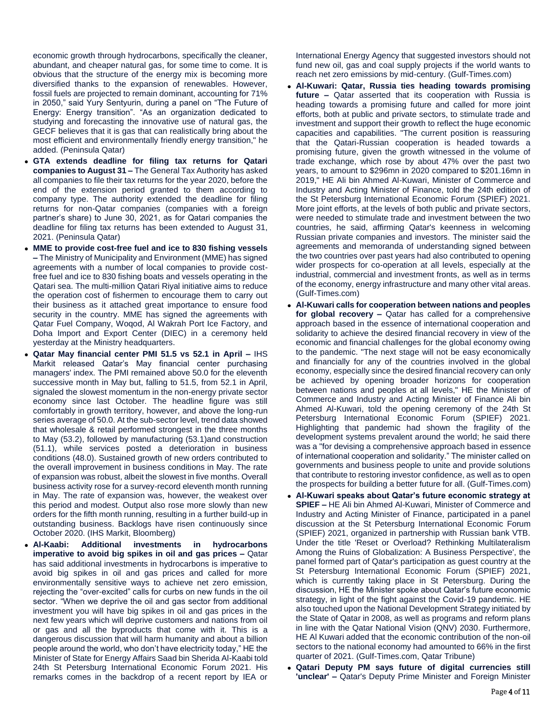economic growth through hydrocarbons, specifically the cleaner, abundant, and cheaper natural gas, for some time to come. It is obvious that the structure of the energy mix is becoming more diversified thanks to the expansion of renewables. However, fossil fuels are projected to remain dominant, accounting for 71% in 2050," said Yury Sentyurin, during a panel on "The Future of Energy: Energy transition". "As an organization dedicated to studying and forecasting the innovative use of natural gas, the GECF believes that it is gas that can realistically bring about the most efficient and environmentally friendly energy transition," he added. (Peninsula Qatar)

- **GTA extends deadline for filing tax returns for Qatari companies to August 31 –** The General Tax Authority has asked all companies to file their tax returns for the year 2020, before the end of the extension period granted to them according to company type. The authority extended the deadline for filing returns for non-Qatar companies (companies with a foreign partner's share) to June 30, 2021, as for Qatari companies the deadline for filing tax returns has been extended to August 31, 2021. (Peninsula Qatar)
- **MME to provide cost-free fuel and ice to 830 fishing vessels –** The Ministry of Municipality and Environment (MME) has signed agreements with a number of local companies to provide costfree fuel and ice to 830 fishing boats and vessels operating in the Qatari sea. The multi-million Qatari Riyal initiative aims to reduce the operation cost of fishermen to encourage them to carry out their business as it attached great importance to ensure food security in the country. MME has signed the agreements with Qatar Fuel Company, Woqod, Al Wakrah Port Ice Factory, and Doha Import and Export Center (DIEC) in a ceremony held yesterday at the Ministry headquarters.
- **Qatar May financial center PMI 51.5 vs 52.1 in April –** IHS Markit released Qatar's May financial center purchasing managers' index. The PMI remained above 50.0 for the eleventh successive month in May but, falling to 51.5, from 52.1 in April, signaled the slowest momentum in the non-energy private sector economy since last October. The headline figure was still comfortably in growth territory, however, and above the long-run series average of 50.0. At the sub-sector level, trend data showed that wholesale & retail performed strongest in the three months to May (53.2), followed by manufacturing (53.1)and construction (51.1), while services posted a deterioration in business conditions (48.0). Sustained growth of new orders contributed to the overall improvement in business conditions in May. The rate of expansion was robust, albeit the slowest in five months. Overall business activity rose for a survey-record eleventh month running in May. The rate of expansion was, however, the weakest over this period and modest. Output also rose more slowly than new orders for the fifth month running, resulting in a further build-up in outstanding business. Backlogs have risen continuously since October 2020. (IHS Markit, Bloomberg)
- **Al-Kaabi: Additional investments in hydrocarbons imperative to avoid big spikes in oil and gas prices –** Qatar has said additional investments in hydrocarbons is imperative to avoid big spikes in oil and gas prices and called for more environmentally sensitive ways to achieve net zero emission, rejecting the "over-excited" calls for curbs on new funds in the oil sector. "When we deprive the oil and gas sector from additional investment you will have big spikes in oil and gas prices in the next few years which will deprive customers and nations from oil or gas and all the byproducts that come with it. This is a dangerous discussion that will harm humanity and about a billion people around the world, who don't have electricity today," HE the Minister of State for Energy Affairs Saad bin Sherida Al-Kaabi told 24th St Petersburg International Economic Forum 2021. His remarks comes in the backdrop of a recent report by IEA or

International Energy Agency that suggested investors should not fund new oil, gas and coal supply projects if the world wants to reach net zero emissions by mid-century. (Gulf-Times.com)

- **Al-Kuwari: Qatar, Russia ties heading towards promising future –** Qatar asserted that its cooperation with Russia is heading towards a promising future and called for more joint efforts, both at public and private sectors, to stimulate trade and investment and support their growth to reflect the huge economic capacities and capabilities. "The current position is reassuring that the Qatari-Russian cooperation is headed towards a promising future, given the growth witnessed in the volume of trade exchange, which rose by about 47% over the past two years, to amount to \$296mn in 2020 compared to \$201.16mn in 2019," HE Ali bin Ahmed Al-Kuwari, Minister of Commerce and Industry and Acting Minister of Finance, told the 24th edition of the St Petersburg International Economic Forum (SPIEF) 2021. More joint efforts, at the levels of both public and private sectors, were needed to stimulate trade and investment between the two countries, he said, affirming Qatar's keenness in welcoming Russian private companies and investors. The minister said the agreements and memoranda of understanding signed between the two countries over past years had also contributed to opening wider prospects for co-operation at all levels, especially at the industrial, commercial and investment fronts, as well as in terms of the economy, energy infrastructure and many other vital areas. (Gulf-Times.com)
- **Al-Kuwari calls for cooperation between nations and peoples for global recovery –** Qatar has called for a comprehensive approach based in the essence of international cooperation and solidarity to achieve the desired financial recovery in view of the economic and financial challenges for the global economy owing to the pandemic. "The next stage will not be easy economically and financially for any of the countries involved in the global economy, especially since the desired financial recovery can only be achieved by opening broader horizons for cooperation between nations and peoples at all levels," HE the Minister of Commerce and Industry and Acting Minister of Finance Ali bin Ahmed Al-Kuwari, told the opening ceremony of the 24th St Petersburg International Economic Forum (SPIEF) 2021. Highlighting that pandemic had shown the fragility of the development systems prevalent around the world; he said there was a "for devising a comprehensive approach based in essence of international cooperation and solidarity." The minister called on governments and business people to unite and provide solutions that contribute to restoring investor confidence, as well as to open the prospects for building a better future for all. (Gulf-Times.com)
- **Al-Kuwari speaks about Qatar's future economic strategy at SPIEF –** HE Ali bin Ahmed Al-Kuwari, Minister of Commerce and Industry and Acting Minister of Finance, participated in a panel discussion at the St Petersburg International Economic Forum (SPIEF) 2021, organized in partnership with Russian bank VTB. Under the title 'Reset or Overload? Rethinking Multilateralism Among the Ruins of Globalization: A Business Perspective', the panel formed part of Qatar's participation as guest country at the St Petersburg International Economic Forum (SPIEF) 2021, which is currently taking place in St Petersburg. During the discussion, HE the Minister spoke about Qatar's future economic strategy, in light of the fight against the Covid-19 pandemic. HE also touched upon the National Development Strategy initiated by the State of Qatar in 2008, as well as programs and reform plans in line with the Qatar National Vision (QNV) 2030. Furthermore, HE Al Kuwari added that the economic contribution of the non-oil sectors to the national economy had amounted to 66% in the first quarter of 2021. (Gulf-Times.com, Qatar Tribune)
- **Qatari Deputy PM says future of digital currencies still 'unclear' –** Qatar's Deputy Prime Minister and Foreign Minister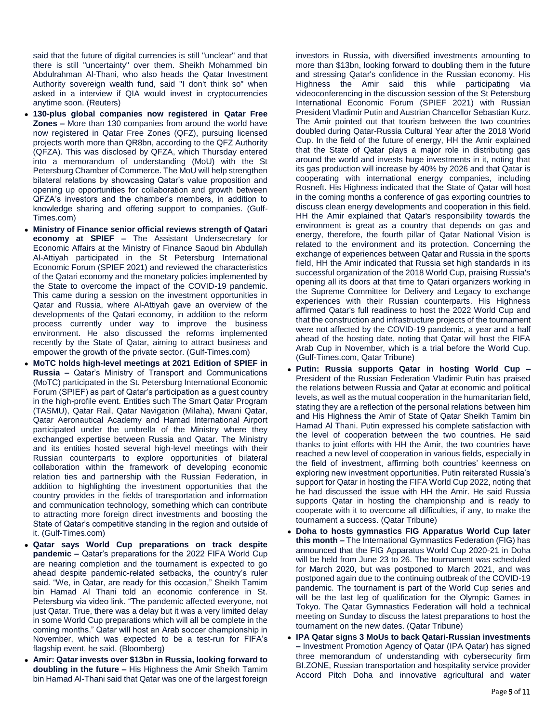said that the future of digital currencies is still "unclear" and that there is still "uncertainty" over them. Sheikh Mohammed bin Abdulrahman Al-Thani, who also heads the Qatar Investment Authority sovereign wealth fund, said "I don't think so" when asked in a interview if QIA would invest in cryptocurrencies anytime soon. (Reuters)

- **130-plus global companies now registered in Qatar Free Zones –** More than 130 companies from around the world have now registered in Qatar Free Zones (QFZ), pursuing licensed projects worth more than QR8bn, according to the QFZ Authority (QFZA). This was disclosed by QFZA, which Thursday entered into a memorandum of understanding (MoU) with the St Petersburg Chamber of Commerce. The MoU will help strengthen bilateral relations by showcasing Qatar's value proposition and opening up opportunities for collaboration and growth between QFZA's investors and the chamber's members, in addition to knowledge sharing and offering support to companies. (Gulf-Times.com)
- **Ministry of Finance senior official reviews strength of Qatari economy at SPIEF –** The Assistant Undersecretary for Economic Affairs at the Ministry of Finance Saoud bin Abdullah Al-Attiyah participated in the St Petersburg International Economic Forum (SPIEF 2021) and reviewed the characteristics of the Qatari economy and the monetary policies implemented by the State to overcome the impact of the COVID-19 pandemic. This came during a session on the investment opportunities in Qatar and Russia, where Al-Attiyah gave an overview of the developments of the Qatari economy, in addition to the reform process currently under way to improve the business environment. He also discussed the reforms implemented recently by the State of Qatar, aiming to attract business and empower the growth of the private sector. (Gulf-Times.com)
- **MoTC holds high-level meetings at 2021 Edition of SPIEF in Russia –** Qatar's Ministry of Transport and Communications (MoTC) participated in the St. Petersburg International Economic Forum (SPIEF) as part of Qatar's participation as a guest country in the high-profile event. Entities such The Smart Qatar Program (TASMU), Qatar Rail, Qatar Navigation (Milaha), Mwani Qatar, Qatar Aeronautical Academy and Hamad International Airport participated under the umbrella of the Ministry where they exchanged expertise between Russia and Qatar. The Ministry and its entities hosted several high-level meetings with their Russian counterparts to explore opportunities of bilateral collaboration within the framework of developing economic relation ties and partnership with the Russian Federation, in addition to highlighting the investment opportunities that the country provides in the fields of transportation and information and communication technology, something which can contribute to attracting more foreign direct investments and boosting the State of Qatar's competitive standing in the region and outside of it. (Gulf-Times.com)
- **Qatar says World Cup preparations on track despite pandemic –** Qatar's preparations for the 2022 FIFA World Cup are nearing completion and the tournament is expected to go ahead despite pandemic-related setbacks, the country's ruler said. "We, in Qatar, are ready for this occasion," Sheikh Tamim bin Hamad Al Thani told an economic conference in St. Petersburg via video link. "The pandemic affected everyone, not just Qatar. True, there was a delay but it was a very limited delay in some World Cup preparations which will all be complete in the coming months." Qatar will host an Arab soccer championship in November, which was expected to be a test-run for FIFA's flagship event, he said. (Bloomberg)
- **Amir: Qatar invests over \$13bn in Russia, looking forward to doubling in the future –** His Highness the Amir Sheikh Tamim bin Hamad Al-Thani said that Qatar was one of the largest foreign

investors in Russia, with diversified investments amounting to more than \$13bn, looking forward to doubling them in the future and stressing Qatar's confidence in the Russian economy. His Highness the Amir said this while participating via videoconferencing in the discussion session of the St Petersburg International Economic Forum (SPIEF 2021) with Russian President Vladimir Putin and Austrian Chancellor Sebastian Kurz. The Amir pointed out that tourism between the two countries doubled during Qatar-Russia Cultural Year after the 2018 World Cup. In the field of the future of energy, HH the Amir explained that the State of Qatar plays a major role in distributing gas around the world and invests huge investments in it, noting that its gas production will increase by 40% by 2026 and that Qatar is cooperating with international energy companies, including Rosneft. His Highness indicated that the State of Qatar will host in the coming months a conference of gas exporting countries to discuss clean energy developments and cooperation in this field. HH the Amir explained that Qatar's responsibility towards the environment is great as a country that depends on gas and energy, therefore, the fourth pillar of Qatar National Vision is related to the environment and its protection. Concerning the exchange of experiences between Qatar and Russia in the sports field, HH the Amir indicated that Russia set high standards in its successful organization of the 2018 World Cup, praising Russia's opening all its doors at that time to Qatari organizers working in the Supreme Committee for Delivery and Legacy to exchange experiences with their Russian counterparts. His Highness affirmed Qatar's full readiness to host the 2022 World Cup and that the construction and infrastructure projects of the tournament were not affected by the COVID-19 pandemic, a year and a half ahead of the hosting date, noting that Qatar will host the FIFA Arab Cup in November, which is a trial before the World Cup. (Gulf-Times.com, Qatar Tribune)

- **Putin: Russia supports Qatar in hosting World Cup –** President of the Russian Federation Vladimir Putin has praised the relations between Russia and Qatar at economic and political levels, as well as the mutual cooperation in the humanitarian field, stating they are a reflection of the personal relations between him and His Highness the Amir of State of Qatar Sheikh Tamim bin Hamad Al Thani. Putin expressed his complete satisfaction with the level of cooperation between the two countries. He said thanks to joint efforts with HH the Amir, the two countries have reached a new level of cooperation in various fields, especially in the field of investment, affirming both countries' keenness on exploring new investment opportunities. Putin reiterated Russia's support for Qatar in hosting the FIFA World Cup 2022, noting that he had discussed the issue with HH the Amir. He said Russia supports Qatar in hosting the championship and is ready to cooperate with it to overcome all difficulties, if any, to make the tournament a success. (Qatar Tribune)
- **Doha to hosts gymnastics FIG Apparatus World Cup later this month –** The International Gymnastics Federation (FIG) has announced that the FIG Apparatus World Cup 2020-21 in Doha will be held from June 23 to 26. The tournament was scheduled for March 2020, but was postponed to March 2021, and was postponed again due to the continuing outbreak of the COVID-19 pandemic. The tournament is part of the World Cup series and will be the last leg of qualification for the Olympic Games in Tokyo. The Qatar Gymnastics Federation will hold a technical meeting on Sunday to discuss the latest preparations to host the tournament on the new dates. (Qatar Tribune)
- **IPA Qatar signs 3 MoUs to back Qatari-Russian investments –** Investment Promotion Agency of Qatar (IPA Qatar) has signed three memorandum of understanding with cybersecurity firm BI.ZONE, Russian transportation and hospitality service provider Accord Pitch Doha and innovative agricultural and water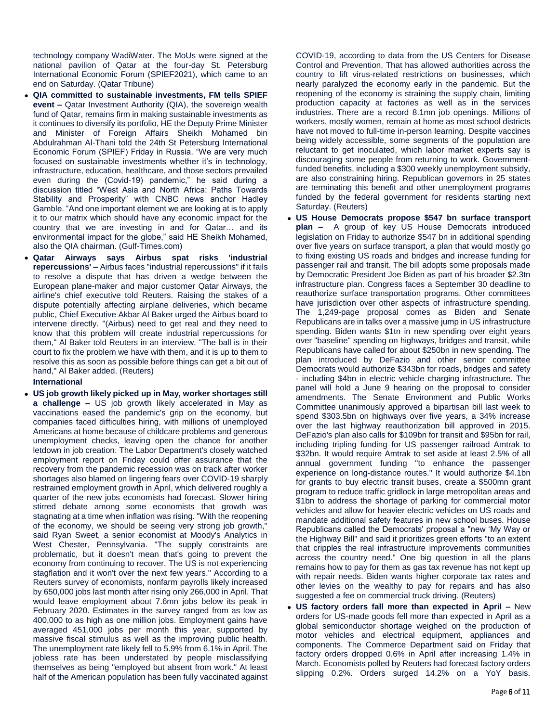technology company WadiWater. The MoUs were signed at the national pavilion of Qatar at the four-day St. Petersburg International Economic Forum (SPIEF2021), which came to an end on Saturday. (Qatar Tribune)

- **QIA committed to sustainable investments, FM tells SPIEF event –** Qatar Investment Authority (QIA), the sovereign wealth fund of Qatar, remains firm in making sustainable investments as it continues to diversify its portfolio, HE the Deputy Prime Minister and Minister of Foreign Affairs Sheikh Mohamed bin Abdulrahman Al-Thani told the 24th St Petersburg International Economic Forum (SPIEF) Friday in Russia. "We are very much focused on sustainable investments whether it's in technology, infrastructure, education, healthcare, and those sectors prevailed even during the (Covid-19) pandemic," he said during a discussion titled "West Asia and North Africa: Paths Towards Stability and Prosperity" with CNBC news anchor Hadley Gamble. "And one important element we are looking at is to apply it to our matrix which should have any economic impact for the country that we are investing in and for Qatar… and its environmental impact for the globe," said HE Sheikh Mohamed, also the QIA chairman. (Gulf-Times.com)
- **Qatar Airways says Airbus spat risks 'industrial repercussions' –** Airbus faces "industrial repercussions" if it fails to resolve a dispute that has driven a wedge between the European plane-maker and major customer Qatar Airways, the airline's chief executive told Reuters. Raising the stakes of a dispute potentially affecting airplane deliveries, which became public, Chief Executive Akbar Al Baker urged the Airbus board to intervene directly. "(Airbus) need to get real and they need to know that this problem will create industrial repercussions for them," Al Baker told Reuters in an interview. "The ball is in their court to fix the problem we have with them, and it is up to them to resolve this as soon as possible before things can get a bit out of hand," Al Baker added. (Reuters)

# **International**

 **US job growth likely picked up in May, worker shortages still a challenge –** US job growth likely accelerated in May as vaccinations eased the pandemic's grip on the economy, but companies faced difficulties hiring, with millions of unemployed Americans at home because of childcare problems and generous unemployment checks, leaving open the chance for another letdown in job creation. The Labor Department's closely watched employment report on Friday could offer assurance that the recovery from the pandemic recession was on track after worker shortages also blamed on lingering fears over COVID-19 sharply restrained employment growth in April, which delivered roughly a quarter of the new jobs economists had forecast. Slower hiring stirred debate among some economists that growth was stagnating at a time when inflation was rising. "With the reopening of the economy, we should be seeing very strong job growth," said Ryan Sweet, a senior economist at Moody's Analytics in West Chester, Pennsylvania. "The supply constraints are problematic, but it doesn't mean that's going to prevent the economy from continuing to recover. The US is not experiencing stagflation and it won't over the next few years." According to a Reuters survey of economists, nonfarm payrolls likely increased by 650,000 jobs last month after rising only 266,000 in April. That would leave employment about 7.6mn jobs below its peak in February 2020. Estimates in the survey ranged from as low as 400,000 to as high as one million jobs. Employment gains have averaged 451,000 jobs per month this year, supported by massive fiscal stimulus as well as the improving public health. The unemployment rate likely fell to 5.9% from 6.1% in April. The jobless rate has been understated by people misclassifying themselves as being "employed but absent from work." At least half of the American population has been fully vaccinated against

COVID-19, according to data from the US Centers for Disease Control and Prevention. That has allowed authorities across the country to lift virus-related restrictions on businesses, which nearly paralyzed the economy early in the pandemic. But the reopening of the economy is straining the supply chain, limiting production capacity at factories as well as in the services industries. There are a record 8.1mn job openings. Millions of workers, mostly women, remain at home as most school districts have not moved to full-time in-person learning. Despite vaccines being widely accessible, some segments of the population are reluctant to get inoculated, which labor market experts say is discouraging some people from returning to work. Governmentfunded benefits, including a \$300 weekly unemployment subsidy, are also constraining hiring. Republican governors in 25 states are terminating this benefit and other unemployment programs funded by the federal government for residents starting next Saturday. (Reuters)

- **US House Democrats propose \$547 bn surface transport plan –** A group of key US House Democrats introduced legislation on Friday to authorize \$547 bn in additional spending over five years on surface transport, a plan that would mostly go to fixing existing US roads and bridges and increase funding for passenger rail and transit. The bill adopts some proposals made by Democratic President Joe Biden as part of his broader \$2.3tn infrastructure plan. Congress faces a September 30 deadline to reauthorize surface transportation programs. Other committees have jurisdiction over other aspects of infrastructure spending. The 1,249-page proposal comes as Biden and Senate Republicans are in talks over a massive jump in US infrastructure spending. Biden wants \$1tn in new spending over eight years over "baseline" spending on highways, bridges and transit, while Republicans have called for about \$250bn in new spending. The plan introduced by DeFazio and other senior committee Democrats would authorize \$343bn for roads, bridges and safety - including \$4bn in electric vehicle charging infrastructure. The panel will hold a June 9 hearing on the proposal to consider amendments. The Senate Environment and Public Works Committee unanimously approved a bipartisan bill last week to spend \$303.5bn on highways over five years, a 34% increase over the last highway reauthorization bill approved in 2015. DeFazio's plan also calls for \$109bn for transit and \$95bn for rail, including tripling funding for US passenger railroad Amtrak to \$32bn. It would require Amtrak to set aside at least 2.5% of all annual government funding "to enhance the passenger experience on long-distance routes." It would authorize \$4.1bn for grants to buy electric transit buses, create a \$500mn grant program to reduce traffic gridlock in large metropolitan areas and \$1bn to address the shortage of parking for commercial motor vehicles and allow for heavier electric vehicles on US roads and mandate additional safety features in new school buses. House Republicans called the Democrats' proposal a "new 'My Way or the Highway Bill" and said it prioritizes green efforts "to an extent that cripples the real infrastructure improvements communities across the country need." One big question in all the plans remains how to pay for them as gas tax revenue has not kept up with repair needs. Biden wants higher corporate tax rates and other levies on the wealthy to pay for repairs and has also suggested a fee on commercial truck driving. (Reuters)
- **US factory orders fall more than expected in April –** New orders for US-made goods fell more than expected in April as a global semiconductor shortage weighed on the production of motor vehicles and electrical equipment, appliances and components. The Commerce Department said on Friday that factory orders dropped 0.6% in April after increasing 1.4% in March. Economists polled by Reuters had forecast factory orders slipping 0.2%. Orders surged 14.2% on a YoY basis.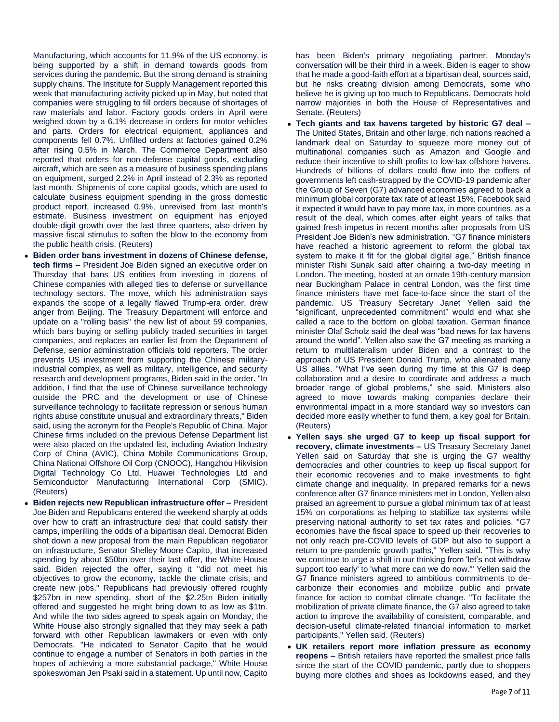Manufacturing, which accounts for 11.9% of the US economy, is being supported by a shift in demand towards goods from services during the pandemic. But the strong demand is straining supply chains. The Institute for Supply Management reported this week that manufacturing activity picked up in May, but noted that companies were struggling to fill orders because of shortages of raw materials and labor. Factory goods orders in April were weighed down by a 6.1% decrease in orders for motor vehicles and parts. Orders for electrical equipment, appliances and components fell 0.7%. Unfilled orders at factories gained 0.2% after rising 0.5% in March. The Commerce Department also reported that orders for non-defense capital goods, excluding aircraft, which are seen as a measure of business spending plans on equipment, surged 2.2% in April instead of 2.3% as reported last month. Shipments of core capital goods, which are used to calculate business equipment spending in the gross domestic product report, increased 0.9%, unrevised from last month's estimate. Business investment on equipment has enjoyed double-digit growth over the last three quarters, also driven by massive fiscal stimulus to soften the blow to the economy from the public health crisis. (Reuters)

- **Biden order bans investment in dozens of Chinese defense, tech firms –** President Joe Biden signed an executive order on Thursday that bans US entities from investing in dozens of Chinese companies with alleged ties to defense or surveillance technology sectors. The move, which his administration says expands the scope of a legally flawed Trump-era order, drew anger from Beijing. The Treasury Department will enforce and update on a "rolling basis" the new list of about 59 companies, which bars buying or selling publicly traded securities in target companies, and replaces an earlier list from the Department of Defense, senior administration officials told reporters. The order prevents US investment from supporting the Chinese militaryindustrial complex, as well as military, intelligence, and security research and development programs, Biden said in the order. "In addition, I find that the use of Chinese surveillance technology outside the PRC and the development or use of Chinese surveillance technology to facilitate repression or serious human rights abuse constitute unusual and extraordinary threats," Biden said, using the acronym for the People's Republic of China. Major Chinese firms included on the previous Defense Department list were also placed on the updated list, including Aviation Industry Corp of China (AVIC), China Mobile Communications Group, China National Offshore Oil Corp (CNOOC), Hangzhou Hikvision Digital Technology Co Ltd, Huawei Technologies Ltd and Semiconductor Manufacturing International Corp (SMIC). (Reuters)
- **Biden rejects new Republican infrastructure offer –** President Joe Biden and Republicans entered the weekend sharply at odds over how to craft an infrastructure deal that could satisfy their camps, imperilling the odds of a bipartisan deal. Democrat Biden shot down a new proposal from the main Republican negotiator on infrastructure, Senator Shelley Moore Capito, that increased spending by about \$50bn over their last offer, the White House said. Biden rejected the offer, saying it "did not meet his objectives to grow the economy, tackle the climate crisis, and create new jobs." Republicans had previously offered roughly \$257bn in new spending, short of the \$2.25tn Biden initially offered and suggested he might bring down to as low as \$1tn. And while the two sides agreed to speak again on Monday, the White House also strongly signalled that they may seek a path forward with other Republican lawmakers or even with only Democrats. "He indicated to Senator Capito that he would continue to engage a number of Senators in both parties in the hopes of achieving a more substantial package," White House spokeswoman Jen Psaki said in a statement. Up until now, Capito

has been Biden's primary negotiating partner. Monday's conversation will be their third in a week. Biden is eager to show that he made a good-faith effort at a bipartisan deal, sources said, but he risks creating division among Democrats, some who believe he is giving up too much to Republicans. Democrats hold narrow majorities in both the House of Representatives and Senate. (Reuters)

- **Tech giants and tax havens targeted by historic G7 deal –** The United States, Britain and other large, rich nations reached a landmark deal on Saturday to squeeze more money out of multinational companies such as Amazon and Google and reduce their incentive to shift profits to low-tax offshore havens. Hundreds of billions of dollars could flow into the coffers of governments left cash-strapped by the COVID-19 pandemic after the Group of Seven (G7) advanced economies agreed to back a minimum global corporate tax rate of at least 15%. Facebook said it expected it would have to pay more tax, in more countries, as a result of the deal, which comes after eight years of talks that gained fresh impetus in recent months after proposals from US President Joe Biden's new administration. "G7 finance ministers have reached a historic agreement to reform the global tax system to make it fit for the global digital age," British finance minister Rishi Sunak said after chairing a two-day meeting in London. The meeting, hosted at an ornate 19th-century mansion near Buckingham Palace in central London, was the first time finance ministers have met face-to-face since the start of the pandemic. US Treasury Secretary Janet Yellen said the "significant, unprecedented commitment" would end what she called a race to the bottom on global taxation. German finance minister Olaf Scholz said the deal was "bad news for tax havens around the world". Yellen also saw the G7 meeting as marking a return to multilateralism under Biden and a contrast to the approach of US President Donald Trump, who alienated many US allies. "What I've seen during my time at this G7 is deep collaboration and a desire to coordinate and address a much broader range of global problems," she said. Ministers also agreed to move towards making companies declare their environmental impact in a more standard way so investors can decided more easily whether to fund them, a key goal for Britain. (Reuters)
- **Yellen says she urged G7 to keep up fiscal support for recovery, climate investments –** US Treasury Secretary Janet Yellen said on Saturday that she is urging the G7 wealthy democracies and other countries to keep up fiscal support for their economic recoveries and to make investments to fight climate change and inequality. In prepared remarks for a news conference after G7 finance ministers met in London, Yellen also praised an agreement to pursue a global minimum tax of at least 15% on corporations as helping to stabilize tax systems while preserving national authority to set tax rates and policies. "G7 economies have the fiscal space to speed up their recoveries to not only reach pre-COVID levels of GDP but also to support a return to pre-pandemic growth paths," Yellen said. "This is why we continue to urge a shift in our thinking from 'let's not withdraw support too early' to 'what more can we do now.'" Yellen said the G7 finance ministers agreed to ambitious commitments to decarbonize their economies and mobilize public and private finance for action to combat climate change. "To facilitate the mobilization of private climate finance, the G7 also agreed to take action to improve the availability of consistent, comparable, and decision-useful climate-related financial information to market participants," Yellen said. (Reuters)
- **UK retailers report more inflation pressure as economy reopens –** British retailers have reported the smallest price falls since the start of the COVID pandemic, partly due to shoppers buying more clothes and shoes as lockdowns eased, and they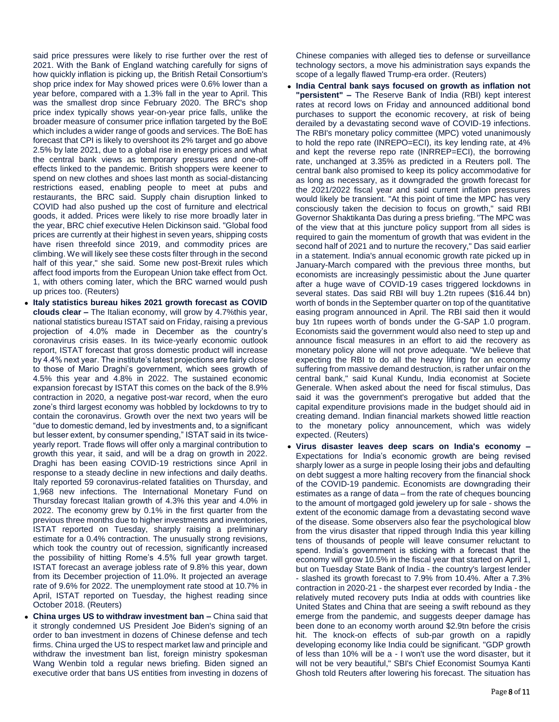said price pressures were likely to rise further over the rest of 2021. With the Bank of England watching carefully for signs of how quickly inflation is picking up, the British Retail Consortium's shop price index for May showed prices were 0.6% lower than a year before, compared with a 1.3% fall in the year to April. This was the smallest drop since February 2020. The BRC's shop price index typically shows year-on-year price falls, unlike the broader measure of consumer price inflation targeted by the BoE which includes a wider range of goods and services. The BoE has forecast that CPI is likely to overshoot its 2% target and go above 2.5% by late 2021, due to a global rise in energy prices and what the central bank views as temporary pressures and one-off effects linked to the pandemic. British shoppers were keener to spend on new clothes and shoes last month as social-distancing restrictions eased, enabling people to meet at pubs and restaurants, the BRC said. Supply chain disruption linked to COVID had also pushed up the cost of furniture and electrical goods, it added. Prices were likely to rise more broadly later in the year, BRC chief executive Helen Dickinson said. "Global food prices are currently at their highest in seven years, shipping costs have risen threefold since 2019, and commodity prices are climbing. We will likely see these costs filter through in the second half of this year," she said. Some new post-Brexit rules which affect food imports from the European Union take effect from Oct. 1, with others coming later, which the BRC warned would push up prices too. (Reuters)

- **Italy statistics bureau hikes 2021 growth forecast as COVID clouds clear –** The Italian economy, will grow by 4.7%this year, national statistics bureau ISTAT said on Friday, raising a previous projection of 4.0% made in December as the country's coronavirus crisis eases. In its twice-yearly economic outlook report, ISTAT forecast that gross domestic product will increase by 4.4% next year. The institute's latest projections are fairly close to those of Mario Draghi's government, which sees growth of 4.5% this year and 4.8% in 2022. The sustained economic expansion forecast by ISTAT this comes on the back of the 8.9% contraction in 2020, a negative post-war record, when the euro zone's third largest economy was hobbled by lockdowns to try to contain the coronavirus. Growth over the next two years will be "due to domestic demand, led by investments and, to a significant but lesser extent, by consumer spending," ISTAT said in its twiceyearly report. Trade flows will offer only a marginal contribution to growth this year, it said, and will be a drag on growth in 2022. Draghi has been easing COVID-19 restrictions since April in response to a steady decline in new infections and daily deaths. Italy reported 59 coronavirus-related fatalities on Thursday, and 1,968 new infections. The International Monetary Fund on Thursday forecast Italian growth of 4.3% this year and 4.0% in 2022. The economy grew by 0.1% in the first quarter from the previous three months due to higher investments and inventories, ISTAT reported on Tuesday, sharply raising a preliminary estimate for a 0.4% contraction. The unusually strong revisions, which took the country out of recession, significantly increased the possibility of hitting Rome's 4.5% full year growth target. ISTAT forecast an average jobless rate of 9.8% this year, down from its December projection of 11.0%. It projected an average rate of 9.6% for 2022. The unemployment rate stood at 10.7% in April, ISTAT reported on Tuesday, the highest reading since October 2018. (Reuters)
- **China urges US to withdraw investment ban –** China said that it strongly condemned US President Joe Biden's signing of an order to ban investment in dozens of Chinese defense and tech firms. China urged the US to respect market law and principle and withdraw the investment ban list, foreign ministry spokesman Wang Wenbin told a regular news briefing. Biden signed an executive order that bans US entities from investing in dozens of

Chinese companies with alleged ties to defense or surveillance technology sectors, a move his administration says expands the scope of a legally flawed Trump-era order. (Reuters)

- **India Central bank says focused on growth as inflation not "persistent" –** The Reserve Bank of India (RBI) kept interest rates at record lows on Friday and announced additional bond purchases to support the economic recovery, at risk of being derailed by a devastating second wave of COVID-19 infections. The RBI's monetary policy committee (MPC) voted unanimously to hold the repo rate (INREPO=ECI), its key lending rate, at 4% and kept the reverse repo rate (INRREP=ECI), the borrowing rate, unchanged at 3.35% as predicted in a Reuters poll. The central bank also promised to keep its policy accommodative for as long as necessary, as it downgraded the growth forecast for the 2021/2022 fiscal year and said current inflation pressures would likely be transient. "At this point of time the MPC has very consciously taken the decision to focus on growth," said RBI Governor Shaktikanta Das during a press briefing. "The MPC was of the view that at this juncture policy support from all sides is required to gain the momentum of growth that was evident in the second half of 2021 and to nurture the recovery," Das said earlier in a statement. India's annual economic growth rate picked up in January-March compared with the previous three months, but economists are increasingly pessimistic about the June quarter after a huge wave of COVID-19 cases triggered lockdowns in several states. Das said RBI will buy 1.2tn rupees (\$16.44 bn) worth of bonds in the September quarter on top of the quantitative easing program announced in April. The RBI said then it would buy 1tn rupees worth of bonds under the G-SAP 1.0 program. Economists said the government would also need to step up and announce fiscal measures in an effort to aid the recovery as monetary policy alone will not prove adequate. "We believe that expecting the RBI to do all the heavy lifting for an economy suffering from massive demand destruction, is rather unfair on the central bank," said Kunal Kundu, India economist at Societe Generale. When asked about the need for fiscal stimulus, Das said it was the government's prerogative but added that the capital expenditure provisions made in the budget should aid in creating demand. Indian financial markets showed little reaction to the monetary policy announcement, which was widely expected. (Reuters)
- **Virus disaster leaves deep scars on India's economy –** Expectations for India's economic growth are being revised sharply lower as a surge in people losing their jobs and defaulting on debt suggest a more halting recovery from the financial shock of the COVID-19 pandemic. Economists are downgrading their estimates as a range of data – from the rate of cheques bouncing to the amount of mortgaged gold jewelery up for sale - shows the extent of the economic damage from a devastating second wave of the disease. Some observers also fear the psychological blow from the virus disaster that ripped through India this year killing tens of thousands of people will leave consumer reluctant to spend. India's government is sticking with a forecast that the economy will grow 10.5% in the fiscal year that started on April 1, but on Tuesday State Bank of India - the country's largest lender - slashed its growth forecast to 7.9% from 10.4%. After a 7.3% contraction in 2020-21 - the sharpest ever recorded by India - the relatively muted recovery puts India at odds with countries like United States and China that are seeing a swift rebound as they emerge from the pandemic, and suggests deeper damage has been done to an economy worth around \$2.9tn before the crisis hit. The knock-on effects of sub-par growth on a rapidly developing economy like India could be significant. "GDP growth of less than 10% will be a - I won't use the word disaster, but it will not be very beautiful," SBI's Chief Economist Soumya Kanti Ghosh told Reuters after lowering his forecast. The situation has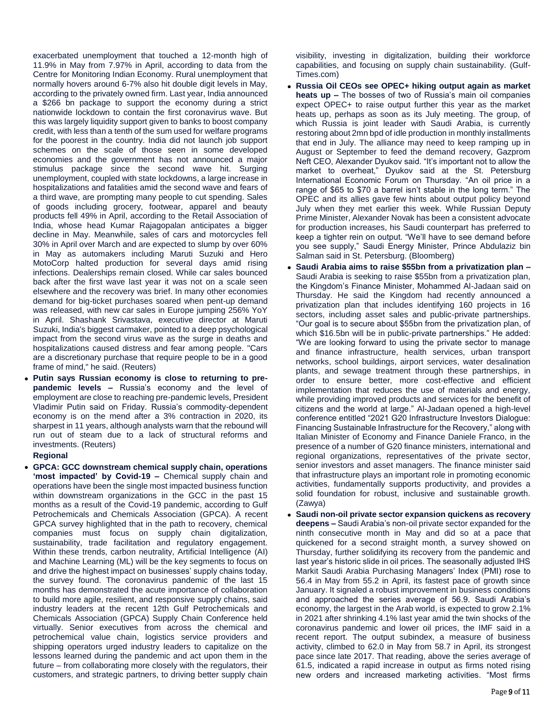exacerbated unemployment that touched a 12-month high of 11.9% in May from 7.97% in April, according to data from the Centre for Monitoring Indian Economy. Rural unemployment that normally hovers around 6-7% also hit double digit levels in May, according to the privately owned firm. Last year, India announced a \$266 bn package to support the economy during a strict nationwide lockdown to contain the first coronavirus wave. But this was largely liquidity support given to banks to boost company credit, with less than a tenth of the sum used for welfare programs for the poorest in the country. India did not launch job support schemes on the scale of those seen in some developed economies and the government has not announced a major stimulus package since the second wave hit. Surging unemployment, coupled with state lockdowns, a large increase in hospitalizations and fatalities amid the second wave and fears of a third wave, are prompting many people to cut spending. Sales of goods including grocery, footwear, apparel and beauty products fell 49% in April, according to the Retail Association of India, whose head Kumar Rajagopalan anticipates a bigger decline in May. Meanwhile, sales of cars and motorcycles fell 30% in April over March and are expected to slump by over 60% in May as automakers including Maruti Suzuki and Hero MotoCorp halted production for several days amid rising infections. Dealerships remain closed. While car sales bounced back after the first wave last year it was not on a scale seen elsewhere and the recovery was brief. In many other economies demand for big-ticket purchases soared when pent-up demand was released, with new car sales in Europe jumping 256% YoY in April. Shashank Srivastava, executive director at Maruti Suzuki, India's biggest carmaker, pointed to a deep psychological impact from the second virus wave as the surge in deaths and hospitalizations caused distress and fear among people. "Cars are a discretionary purchase that require people to be in a good frame of mind," he said. (Reuters)

 **Putin says Russian economy is close to returning to prepandemic levels –** Russia's economy and the level of employment are close to reaching pre-pandemic levels, President Vladimir Putin said on Friday. Russia's commodity-dependent economy is on the mend after a 3% contraction in 2020, its sharpest in 11 years, although analysts warn that the rebound will run out of steam due to a lack of structural reforms and investments. (Reuters)

# **Regional**

 **GPCA: GCC downstream chemical supply chain, operations 'most impacted' by Covid-19 –** Chemical supply chain and operations have been the single most impacted business function within downstream organizations in the GCC in the past 15 months as a result of the Covid-19 pandemic, according to Gulf Petrochemicals and Chemicals Association (GPCA). A recent GPCA survey highlighted that in the path to recovery, chemical companies must focus on supply chain digitalization, sustainability, trade facilitation and regulatory engagement. Within these trends, carbon neutrality, Artificial Intelligence (AI) and Machine Learning (ML) will be the key segments to focus on and drive the highest impact on businesses' supply chains today, the survey found. The coronavirus pandemic of the last 15 months has demonstrated the acute importance of collaboration to build more agile, resilient, and responsive supply chains, said industry leaders at the recent 12th Gulf Petrochemicals and Chemicals Association (GPCA) Supply Chain Conference held virtually. Senior executives from across the chemical and petrochemical value chain, logistics service providers and shipping operators urged industry leaders to capitalize on the lessons learned during the pandemic and act upon them in the future – from collaborating more closely with the regulators, their customers, and strategic partners, to driving better supply chain

visibility, investing in digitalization, building their workforce capabilities, and focusing on supply chain sustainability. (Gulf-Times.com)

- **Russia Oil CEOs see OPEC+ hiking output again as market heats up –** The bosses of two of Russia's main oil companies expect OPEC+ to raise output further this year as the market heats up, perhaps as soon as its July meeting. The group, of which Russia is joint leader with Saudi Arabia, is currently restoring about 2mn bpd of idle production in monthly installments that end in July. The alliance may need to keep ramping up in August or September to feed the demand recovery, Gazprom Neft CEO, Alexander Dyukov said. "It's important not to allow the market to overheat," Dyukov said at the St. Petersburg International Economic Forum on Thursday. "An oil price in a range of \$65 to \$70 a barrel isn't stable in the long term." The OPEC and its allies gave few hints about output policy beyond July when they met earlier this week. While Russian Deputy Prime Minister, Alexander Novak has been a consistent advocate for production increases, his Saudi counterpart has preferred to keep a tighter rein on output. "We'll have to see demand before you see supply," Saudi Energy Minister, Prince Abdulaziz bin Salman said in St. Petersburg. (Bloomberg)
- **Saudi Arabia aims to raise \$55bn from a privatization plan –** Saudi Arabia is seeking to raise \$55bn from a privatization plan, the Kingdom's Finance Minister, Mohammed Al-Jadaan said on Thursday. He said the Kingdom had recently announced a privatization plan that includes identifying 160 projects in 16 sectors, including asset sales and public-private partnerships. "Our goal is to secure about \$55bn from the privatization plan, of which \$16.5bn will be in public-private partnerships." He added: "We are looking forward to using the private sector to manage and finance infrastructure, health services, urban transport networks, school buildings, airport services, water desalination plants, and sewage treatment through these partnerships, in order to ensure better, more cost-effective and efficient implementation that reduces the use of materials and energy, while providing improved products and services for the benefit of citizens and the world at large." Al-Jadaan opened a high-level conference entitled "2021 G20 Infrastructure Investors Dialogue: Financing Sustainable Infrastructure for the Recovery," along with Italian Minister of Economy and Finance Daniele Franco, in the presence of a number of G20 finance ministers, international and regional organizations, representatives of the private sector, senior investors and asset managers. The finance minister said that infrastructure plays an important role in promoting economic activities, fundamentally supports productivity, and provides a solid foundation for robust, inclusive and sustainable growth. (Zawya)
- **Saudi non-oil private sector expansion quickens as recovery deepens –** Saudi Arabia's non-oil private sector expanded for the ninth consecutive month in May and did so at a pace that quickened for a second straight month, a survey showed on Thursday, further solidifying its recovery from the pandemic and last year's historic slide in oil prices. The seasonally adjusted IHS Markit Saudi Arabia Purchasing Managers' Index (PMI) rose to 56.4 in May from 55.2 in April, its fastest pace of growth since January. It signaled a robust improvement in business conditions and approached the series average of 56.9. Saudi Arabia's economy, the largest in the Arab world, is expected to grow 2.1% in 2021 after shrinking 4.1% last year amid the twin shocks of the coronavirus pandemic and lower oil prices, the IMF said in a recent report. The output subindex, a measure of business activity, climbed to 62.0 in May from 58.7 in April, its strongest pace since late 2017. That reading, above the series average of 61.5, indicated a rapid increase in output as firms noted rising new orders and increased marketing activities. "Most firms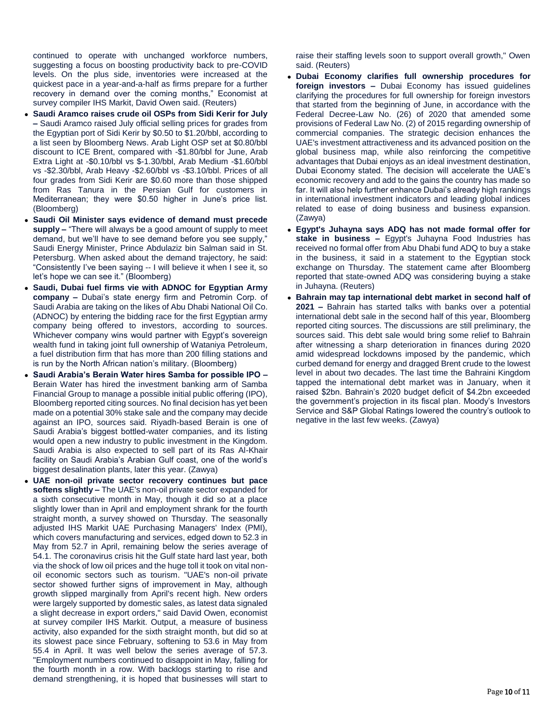continued to operate with unchanged workforce numbers, suggesting a focus on boosting productivity back to pre-COVID levels. On the plus side, inventories were increased at the quickest pace in a year-and-a-half as firms prepare for a further recovery in demand over the coming months," Economist at survey compiler IHS Markit, David Owen said. (Reuters)

- **Saudi Aramco raises crude oil OSPs from Sidi Kerir for July –** Saudi Aramco raised July official selling prices for grades from the Egyptian port of Sidi Kerir by \$0.50 to \$1.20/bbl, according to a list seen by Bloomberg News. Arab Light OSP set at \$0.80/bbl discount to ICE Brent, compared with -\$1.80/bbl for June, Arab Extra Light at -\$0.10/bbl vs \$-1.30/bbl, Arab Medium -\$1.60/bbl vs -\$2.30/bbl, Arab Heavy -\$2.60/bbl vs -\$3.10/bbl. Prices of all four grades from Sidi Kerir are \$0.60 more than those shipped from Ras Tanura in the Persian Gulf for customers in Mediterranean; they were \$0.50 higher in June's price list. (Bloomberg)
- **Saudi Oil Minister says evidence of demand must precede supply –** "There will always be a good amount of supply to meet demand, but we'll have to see demand before you see supply," Saudi Energy Minister, Prince Abdulaziz bin Salman said in St. Petersburg. When asked about the demand trajectory, he said: "Consistently I've been saying -- I will believe it when I see it, so let's hope we can see it." (Bloomberg)
- **Saudi, Dubai fuel firms vie with ADNOC for Egyptian Army company –** Dubai's state energy firm and Petromin Corp. of Saudi Arabia are taking on the likes of Abu Dhabi National Oil Co. (ADNOC) by entering the bidding race for the first Egyptian army company being offered to investors, according to sources. Whichever company wins would partner with Egypt's sovereign wealth fund in taking joint full ownership of Wataniya Petroleum, a fuel distribution firm that has more than 200 filling stations and is run by the North African nation's military. (Bloomberg)
- **Saudi Arabia's Berain Water hires Samba for possible IPO –** Berain Water has hired the investment banking arm of Samba Financial Group to manage a possible initial public offering (IPO), Bloomberg reported citing sources. No final decision has yet been made on a potential 30% stake sale and the company may decide against an IPO, sources said. Riyadh-based Berain is one of Saudi Arabia's biggest bottled-water companies, and its listing would open a new industry to public investment in the Kingdom. Saudi Arabia is also expected to sell part of its Ras Al-Khair facility on Saudi Arabia's Arabian Gulf coast, one of the world's biggest desalination plants, later this year. (Zawya)
- **UAE non-oil private sector recovery continues but pace softens slightly –** The UAE's non-oil private sector expanded for a sixth consecutive month in May, though it did so at a place slightly lower than in April and employment shrank for the fourth straight month, a survey showed on Thursday. The seasonally adjusted IHS Markit UAE Purchasing Managers' Index (PMI), which covers manufacturing and services, edged down to 52.3 in May from 52.7 in April, remaining below the series average of 54.1. The coronavirus crisis hit the Gulf state hard last year, both via the shock of low oil prices and the huge toll it took on vital nonoil economic sectors such as tourism. "UAE's non-oil private sector showed further signs of improvement in May, although growth slipped marginally from April's recent high. New orders were largely supported by domestic sales, as latest data signaled a slight decrease in export orders," said David Owen, economist at survey compiler IHS Markit. Output, a measure of business activity, also expanded for the sixth straight month, but did so at its slowest pace since February, softening to 53.6 in May from 55.4 in April. It was well below the series average of 57.3. "Employment numbers continued to disappoint in May, falling for the fourth month in a row. With backlogs starting to rise and demand strengthening, it is hoped that businesses will start to

raise their staffing levels soon to support overall growth," Owen said. (Reuters)

- **Dubai Economy clarifies full ownership procedures for foreign investors –** Dubai Economy has issued guidelines clarifying the procedures for full ownership for foreign investors that started from the beginning of June, in accordance with the Federal Decree-Law No. (26) of 2020 that amended some provisions of Federal Law No. (2) of 2015 regarding ownership of commercial companies. The strategic decision enhances the UAE's investment attractiveness and its advanced position on the global business map, while also reinforcing the competitive advantages that Dubai enjoys as an ideal investment destination, Dubai Economy stated. The decision will accelerate the UAE's economic recovery and add to the gains the country has made so far. It will also help further enhance Dubai's already high rankings in international investment indicators and leading global indices related to ease of doing business and business expansion. (Zawya)
- **Egypt's Juhayna says ADQ has not made formal offer for stake in business –** Egypt's Juhayna Food Industries has received no formal offer from Abu Dhabi fund ADQ to buy a stake in the business, it said in a statement to the Egyptian stock exchange on Thursday. The statement came after Bloomberg reported that state-owned ADQ was considering buying a stake in Juhayna. (Reuters)
- **Bahrain may tap international debt market in second half of 2021 –** Bahrain has started talks with banks over a potential international debt sale in the second half of this year, Bloomberg reported citing sources. The discussions are still preliminary, the sources said. This debt sale would bring some relief to Bahrain after witnessing a sharp deterioration in finances during 2020 amid widespread lockdowns imposed by the pandemic, which curbed demand for energy and dragged Brent crude to the lowest level in about two decades. The last time the Bahraini Kingdom tapped the international debt market was in January, when it raised \$2bn. Bahrain's 2020 budget deficit of \$4.2bn exceeded the government's projection in its fiscal plan. Moody's Investors Service and S&P Global Ratings lowered the country's outlook to negative in the last few weeks. (Zawya)